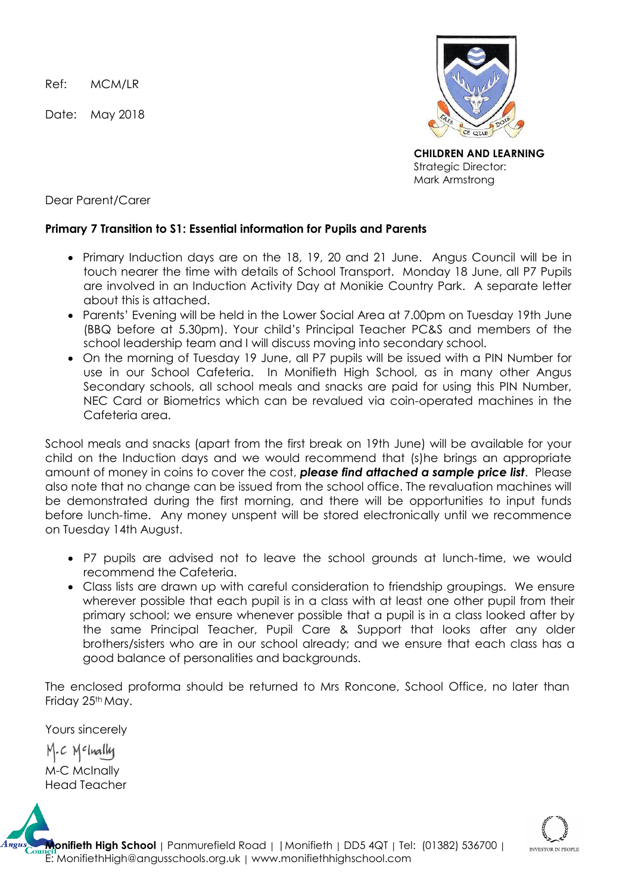Ref: MCM/LR

Date: May 2018



**CHILDREN AND LEARNING** Strategic Director: Mark Armstrong

Dear Parent/Carer

## **Primary 7 Transition to S1: Essential information for Pupils and Parents**

- Primary Induction days are on the 18, 19, 20 and 21 June. Angus Council will be in touch nearer the time with details of School Transport. Monday 18 June, all P7 Pupils are involved in an Induction Activity Day at Monikie Country Park. A separate letter about this is attached.
- Parents' Evening will be held in the Lower Social Area at 7.00pm on Tuesday 19th June (BBQ before at 5.30pm). Your child's Principal Teacher PC&S and members of the school leadership team and I will discuss moving into secondary school.
- On the morning of Tuesday 19 June, all P7 pupils will be issued with a PIN Number for use in our School Cafeteria. In Monifieth High School, as in many other Angus Secondary schools, all school meals and snacks are paid for using this PIN Number, NEC Card or Biometrics which can be revalued via coin-operated machines in the Cafeteria area.

School meals and snacks (apart from the first break on 19th June) will be available for your child on the Induction days and we would recommend that (s)he brings an appropriate amount of money in coins to cover the cost, *please find attached a sample price list*. Please also note that no change can be issued from the school office. The revaluation machines will be demonstrated during the first morning, and there will be opportunities to input funds before lunch-time. Any money unspent will be stored electronically until we recommence on Tuesday 14th August.

- P7 pupils are advised not to leave the school grounds at lunch-time, we would recommend the Cafeteria.
- Class lists are drawn up with careful consideration to friendship groupings. We ensure wherever possible that each pupil is in a class with at least one other pupil from their primary school; we ensure whenever possible that a pupil is in a class looked after by the same Principal Teacher, Pupil Care & Support that looks after any older brothers/sisters who are in our school already; and we ensure that each class has a good balance of personalities and backgrounds.

The enclosed proforma should be returned to Mrs Roncone, School Office, no later than Friday 25<sup>th</sup> May.

Yours sincerely  $M-c$   $N$ <sup>c</sup>lually M-C McInally

Head Teacher